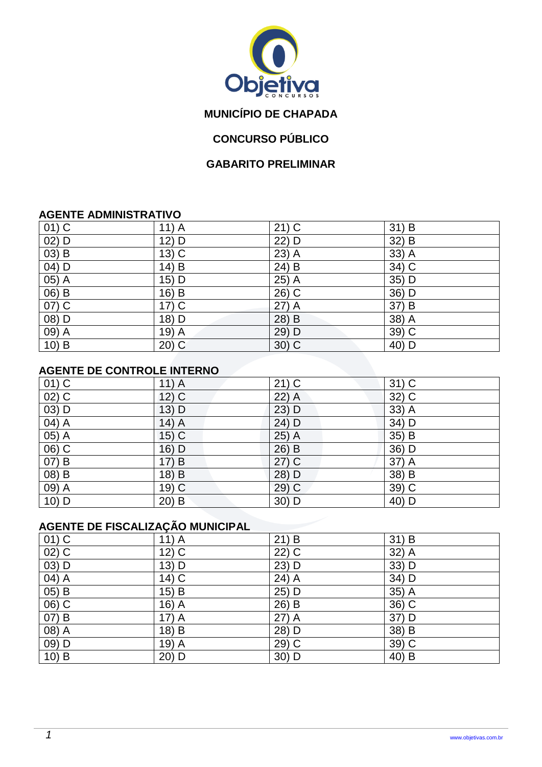

# **MUNICÍPIO DE CHAPADA**

### **CONCURSO PÚBLICO**

#### **GABARITO PRELIMINAR**

#### **AGENTE ADMINISTRATIVO**

| $01)$ C  | $11)$ A | $21)$ C | $31)$ B                   |
|----------|---------|---------|---------------------------|
| $02)$ D  | 12) D   | 22) D   | $32\overline{\smash{)}B}$ |
| $(03)$ B | $13)$ C | $23)$ A | 33) A                     |
| $04)$ D  | 14) B   | $24)$ B | 34) C                     |
| $05)$ A  | 15) D   | 25) A   | 35) D                     |
| $06)$ B  | 16) B   | 26) C   | 36) D                     |
| 07) C    | $17)$ C | $27)$ A | 37) B                     |
| $(08)$ D | 18) D   | 28) B   | 38) A                     |
| 09) A    | 19) A   | 29) D   | 39) C                     |
| $10)$ B  | $20)$ C | $30)$ C | 40) D                     |

#### **AGENTE DE CONTROLE INTERNO**

| $01)$ C  | $11)$ A | $21)$ C | $31)$ C |
|----------|---------|---------|---------|
| $02)$ C  | $12)$ C | $22)$ A | 32) C   |
| $03)$ D  | 13) D   | $23)$ D | $33)$ A |
| 04) A    | $14)$ A | 24) D   | 34) D   |
| 05) A    | $15)$ C | $25)$ A | 35) B   |
| $06)$ C  | 16) D   | 26) B   | 36) D   |
| $(07)$ B | 17) B   | $27)$ C | 37) A   |
| $(08)$ B | 18) B   | 28) D   | 38) B   |
| 09) A    | $19)$ C | 29) C   | 39) C   |
| $10)$ D  | $20)$ B | 30) D   | 40) D   |

# **AGENTE DE FISCALIZAÇÃO MUNICIPAL**

| $01)$ C             | $11)$ A            | 21) B   | $31)$ B |
|---------------------|--------------------|---------|---------|
| $\overline{02)}$ C  | $12)$ C            | $22)$ C | $32)$ A |
| $(03)$ D            | 13) D              | 23) D   | 33) D   |
| $04)$ A             | 14) C              | 24) A   | 34) D   |
| 05) B               | $15)$ B            | 25) D   | $35)$ A |
| $\overline{06}$ ) C | 16) A              | 26) B   | $36)$ C |
| 07) B               | 17) A              | $27)$ A | 37) D   |
| $\overline{08)}$ A  | 18) B              | 28) D   | 38) B   |
| $09)$ D             | 19) $\overline{A}$ | $29)$ C | $39)$ C |
| $10)$ B             | $20)$ D            | $30)$ D | 40) B   |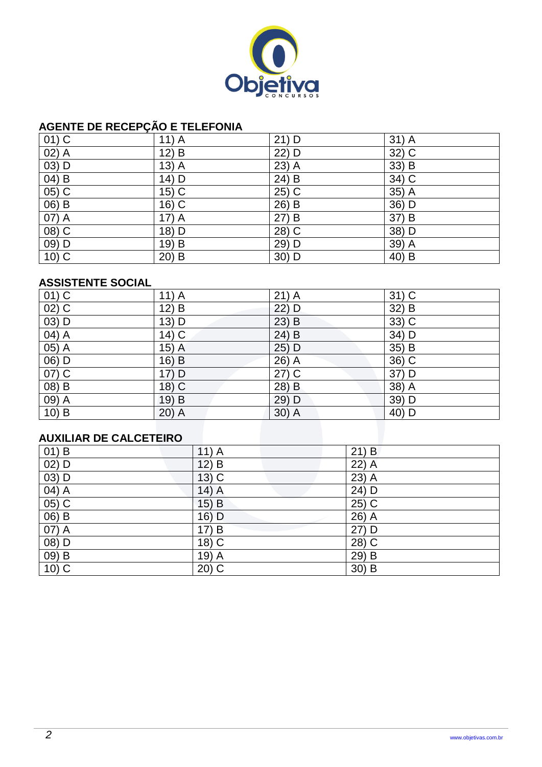

### **AGENTE DE RECEPÇÃO E TELEFONIA**

| $01)$ C            | $11)$ A | $21)$ D | $31)$ A             |
|--------------------|---------|---------|---------------------|
| $\overline{02)}$ A | $12)$ B | 22) D   | $32)$ C             |
| 03) D              | $13)$ A | $23)$ A | 33) B               |
| $04)$ B            | 14) D   | $24)$ B | 34) C               |
| $05)$ C            | $15)$ C | 25) C   | 35) A               |
| $(06)$ B           | 16) C   | 26) B   | 36) D               |
| 07) A              | $17)$ A | 27) B   | 37) B               |
| $(08)$ C           | 18) D   | 28) C   | 38) D               |
| 09) D              | 19) B   | 29) D   | 39)<br>$\mathsf{A}$ |
| $10)$ C            | $20)$ B | 30) D   | 40) B               |

#### **ASSISTENTE SOCIAL**

| $01)$ C                 | $11)$ A | $21)$ A | $31)$ C |
|-------------------------|---------|---------|---------|
| $02)$ C                 | 12) B   | $22)$ D | $32)$ B |
| 03) D                   | 13) D   | $23)$ B | 33) C   |
| 04) A                   | $14)$ C | 24) B   | 34) D   |
| 05) A                   | $15)$ A | $25)$ D | $35)$ B |
| 06) D                   | $16)$ B | 26) A   | 36) C   |
| $07)$ C                 | 17) D   | $27)$ C | 37) D   |
| 08) B                   | 18) C   | 28) B   | 38) A   |
| 09) A                   | 19) B   | $29)$ D | 39) D   |
| $10)$ B                 | $20)$ A | $30)$ A | 40) D   |
|                         |         |         |         |
| ALIXILIAR DE CALCETEIRO |         |         |         |

## **AUXILIAR DE CALCETEIRO**

| $01)$ B                         | $11)$ A | $21)$ B             |
|---------------------------------|---------|---------------------|
| $02)$ D                         | $12)$ B | 22) A               |
| $03)$ D                         | $13)$ C | $23)$ A             |
| $\overline{04}$ $\overline{)A}$ | $14)$ A | 24) D               |
| $(05)$ C                        | $15)$ B | $25)$ C             |
| $(06)$ B                        | $16)$ D | $26)$ A             |
| 07) A                           | 17) B   | 27) D               |
| $(08)$ D                        | $18)$ C | $\overline{28}$ ) C |
| $(09)$ B                        | 19) A   | $29)$ B             |
| $10)$ C                         | $20)$ C | $30)$ B             |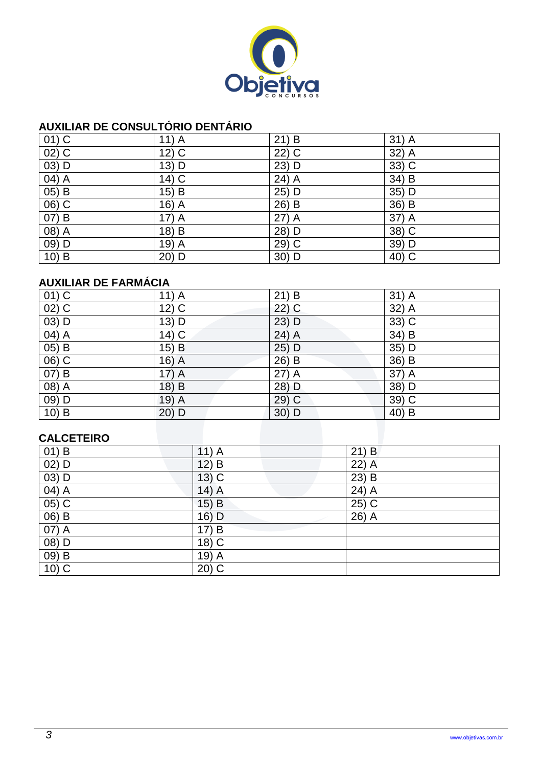

### **AUXILIAR DE CONSULTÓRIO DENTÁRIO**

| $01)$ C             | $11)$ A | $21)$ B | $31)$ A |
|---------------------|---------|---------|---------|
| $\overline{02)}$ C  | $12)$ C | 22) C   | $32)$ A |
| 03) D               | 13) D   | 23) D   | 33) C   |
| $04)$ A             | $14)$ C | $24)$ A | 34) B   |
| $05)$ B             | $15)$ B | 25) D   | 35) D   |
| $\overline{06}$ ) C | $16)$ A | $26)$ B | 36) B   |
| 07) B               | $17)$ A | $27)$ A | 37) A   |
| $(08)$ A            | 18) B   | 28) D   | 38) C   |
| 09) D               | 19) A   | 29) C   | 39) D   |
| $10)$ B             | 20) D   | 30) D   | 40) C   |

# **AUXILIAR DE FARMÁCIA**

| $01)$ C            | $11)$ A | $21)$ B | $31)$ A |
|--------------------|---------|---------|---------|
| $02)$ C            | $12)$ C | $22)$ C | 32) A   |
| $(03)$ D           | $13)$ D | $23)$ D | $33)$ C |
| $\overline{04)}$ A | 14) C   | $24)$ A | 34) B   |
| 05) B              | $15)$ B | $25)$ D | 35) D   |
| 06) C              | $16)$ A | 26) B   | 36) B   |
| 07) B              | $17)$ A | $27)$ A | 37) A   |
| 08) A              | 18) B   | 28) D   | 38) D   |
| 09) D              | $19)$ A | $29)$ C | 39) C   |
| $10)$ B            | $20)$ D | $30)$ D | 40) B   |
|                    |         |         |         |
| CALCETEIRO         |         |         |         |

### **CALCETEIRO**

| $01)$ B  | $11)$ A  | $21)$ B |
|----------|----------|---------|
| $02)$ D  | $12)$ B  | 22) A   |
| $(03)$ D | $13)$ C  | $23)$ B |
| $04)$ A  | $14)$ A  | $24)$ A |
| $05)$ C  | $15)$ B  | $25)$ C |
| $06)$ B  | 16) D    | 26) A   |
| 07) A    | 17)<br>B |         |
| $(08)$ D | 18) C    |         |
| $(09)$ B | 19) A    |         |
| $10)$ C  | $20)$ C  |         |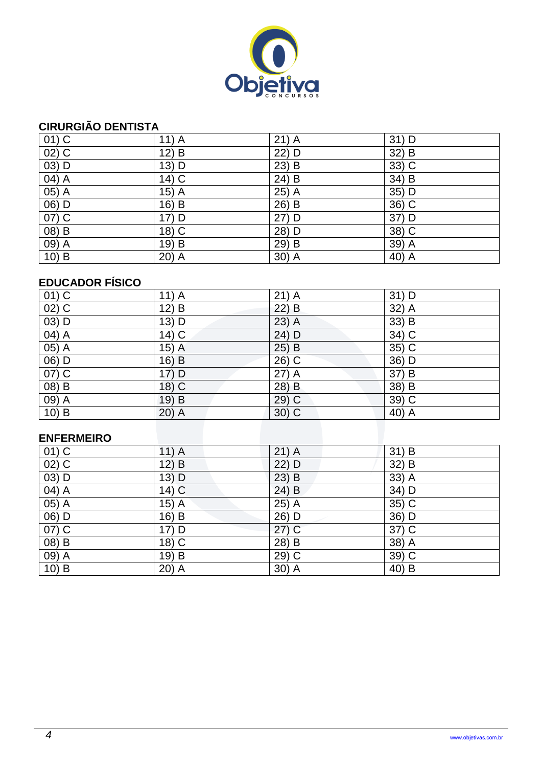

## **CIRURGIÃO DENTISTA**

| $01)$ C                         | $11)$ A | $21)$ A | $31)$ D            |
|---------------------------------|---------|---------|--------------------|
| $\overline{02}$ ) C             | $12)$ B | 22) D   | $32) \overline{B}$ |
| 03) D                           | 13) D   | $23)$ B | 33) C              |
| $\overline{04}$ $\overline{)A}$ | 14) C   | $24)$ B | $34) \overline{B}$ |
| $\overline{05)}$ A              | $15)$ A | 25) A   | 35) D              |
| 06) D                           | 16) B   | 26) B   | 36) C              |
| $\overline{07)}$ C              | 17) D   | 27) D   | 37) D              |
| $(08)$ B                        | 18) C   | 28) D   | 38) C              |
| 09) A                           | 19) B   | 29) B   | 39) A              |
| $10)$ B                         | $20)$ A | $30)$ A | 40) $\overline{A}$ |

## **EDUCADOR FÍSICO**

| $01)$ C            | $11)$ A | $21)$ A | $31)$ D            |
|--------------------|---------|---------|--------------------|
| $02)$ C            | 12) B   | $22)$ B | 32) A              |
| $03)$ D            | 13) D   | $23)$ A | 33) B              |
| $04)$ A            | $14)$ C | 24) D   | $34)$ C            |
| $\overline{05)}$ A | $15)$ A | $25)$ B | $35)$ C            |
| 06) D              | $16)$ B | $26)$ C | 36) D              |
| 07) C              | 17) D   | $27)$ A | 37) B              |
| $(08)$ B           | 18) C   | 28) B   | $38) \overline{B}$ |
| $09)$ A            | 19) B   | $29)$ C | $39)$ C            |
| $10)$ B            | $20)$ A | $30)$ C | 40) $\overline{A}$ |

### **ENFERMEIRO**

| $01)$ C            | $11)$ A | $21)$ A              | $31)$ B |
|--------------------|---------|----------------------|---------|
| $02)$ C            | 12) B   | 22) D                | 32) B   |
| $\overline{03)}$ D | $13)$ D | $23)$ B              | $33)$ A |
| 04) A              | $14)$ C | $24)$ B              | 34) D   |
| $05)$ A            | $15)$ A | $25)$ A              | 35) C   |
| $(06)$ D           | 16) B   | 26) D                | $36)$ D |
| $07)$ C            | 17) D   | $27)$ C              | $37)$ C |
| 08) B              | 18) C   | 28) B                | 38) A   |
| 09) A              | 19) B   | 29) C                | 39) C   |
| 10) B              | $20)$ A | $30)$ $\overline{A}$ | $40)$ B |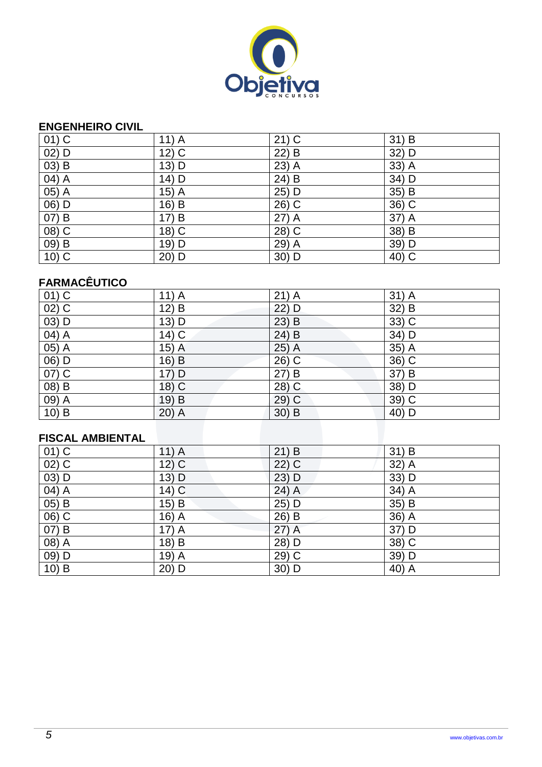

### **ENGENHEIRO CIVIL**

| $01)$ C  | $11)$ A | $21)$ C | 31) B                    |
|----------|---------|---------|--------------------------|
| 02) D    | $12)$ C | 22) B   | 32) D                    |
| $03)$ B  | 13) D   | $23)$ A | 33) A                    |
| 04) A    | 14) D   | 24) B   | 34) D                    |
| $05)$ A  | $15)$ A | 25) D   | $35\overline{\smash) B}$ |
| 06) D    | 16) B   | 26) C   | $36)$ C                  |
| 07) B    | 17) B   | $27)$ A | 37) A                    |
| $(08)$ C | 18) C   | 28) C   | 38) B                    |
| $(09)$ B | 19) D   | 29) A   | 39) D                    |
| $10)$ C  | 20) D   | 30) D   | 40) C                    |

# **FARMACÊUTICO**

| $01)$ C                        | $11)$ A | $21)$ A | $31)$ A             |
|--------------------------------|---------|---------|---------------------|
| $02)$ C                        | 12) B   | 22) D   | 32) B               |
| $(03)$ D                       | 13) D   | $23)$ B | $33)$ C             |
| $\overline{04}$ $\overline{A}$ | $14)$ C | $24)$ B | $34)$ D             |
| $\overline{05)}$ A             | $15)$ A | $25)$ A | $\overline{35)}$ A  |
| $(06)$ D                       | $16)$ B | $26)$ C | $\overline{36}$ ) C |
| 07) C                          | 17) D   | 27) B   | 37) B               |
| $(08)$ B                       | $18)$ C | 28) C   | 38) D               |
| $09)$ A                        | 19) B   | $29)$ C | $39)$ C             |
| $10)$ B                        | $20)$ A | $30)$ B | 40) D               |

# **FISCAL AMBIENTAL**

| $01)$ C                        | $11)$ A              | $21)$ B | $31)$ B |
|--------------------------------|----------------------|---------|---------|
| $02)$ C                        | $12)$ C              | 22) C   | 32) A   |
| 03) D                          | $13)$ D              | 23) D   | 33) D   |
| $\overline{04}$ $\overline{A}$ | $14)$ $\overline{C}$ | $24)$ A | $34)$ A |
| 05) B                          | $15)$ B              | $25)$ D | 35) B   |
| 06) C                          | 16) A                | 26) B   | $36)$ A |
| 07) B                          | 17) A                | $27)$ A | 37) D   |
| 08) A                          | 18) B                | 28) D   | $38)$ C |
| 09) D                          | 19) $\overline{A}$   | $29)$ C | 39) D   |
| $10)$ B                        | 20) D                | 30) D   | 40) A   |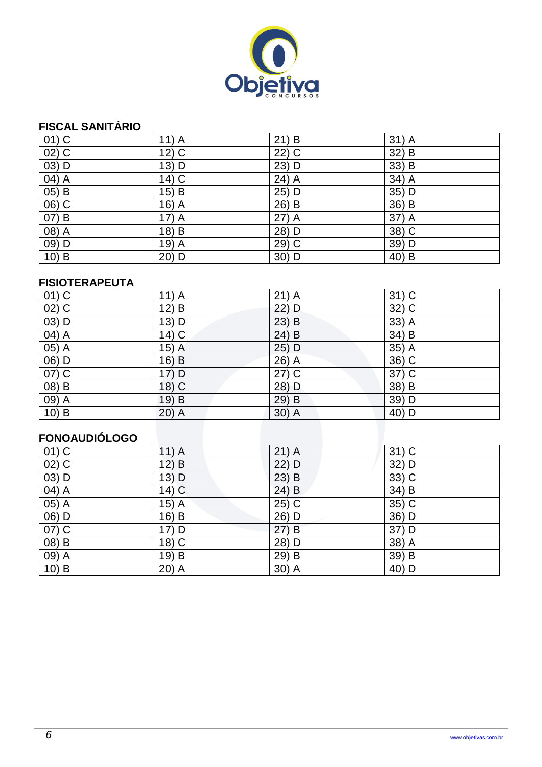

## **FISCAL SANITÁRIO**

| $01)$ C             | $11)$ A           | 21) B               | $31)$ A                   |
|---------------------|-------------------|---------------------|---------------------------|
| $02)$ C             | $12\overline{)C}$ | $\overline{22}$ ) C | $32\overline{\smash{)}B}$ |
| $03)$ D             | 13) D             | 23) D               | 33) B                     |
| $04)$ A             | $14)$ C           | $24)$ A             | 34) A                     |
| 05) B               | 15) B             | 25) D               | 35) D                     |
| $\overline{06}$ ) C | $16)$ A           | $26)$ B             | $36)$ B                   |
| 07) B               | $17)$ A           | $27)$ A             | 37) A                     |
| $(08)$ A            | 18) B             | 28) D               | 38) C                     |
| 09) D               | $19)$ A           | 29) C               | 39) D                     |
| $10)$ B             | 20) D             | 30) D               | 40) B                     |

#### **FISIOTERAPEUTA**

| $01)$ C                        | $11)$ A | $21)$ A | $31)$ C |
|--------------------------------|---------|---------|---------|
| $02)$ C                        | 12) B   | 22) D   | $32)$ C |
| $(03)$ D                       | 13) D   | $23)$ B | $33)$ A |
| $\overline{04)}$ A             | 14) C   | $24)$ B | $34)$ B |
| $\overline{05)}$ A             | $15)$ A | 25) D   | $35)$ A |
| $\overline{06}$ $\overline{D}$ | $16)$ B | 26) A   | $36)$ C |
| 07) C                          | 17) D   | $27)$ C | 37) C   |
| $(08)$ B                       | $18)$ C | 28) D   | $38)$ B |
| $\overline{09}$ $\overline{A}$ | 19) B   | $29)$ B | 39) D   |
| $10)$ B                        | $20)$ A | $30)$ A | 40) D   |

# **FONOAUDIÓLOGO**

| $11)$ A | $21)$ A | $31)$ C |
|---------|---------|---------|
| 12) B   | 22) D   | 32) D   |
| $13)$ D | $23)$ B | $33)$ C |
| $14)$ C | $24)$ B | 34) B   |
| $15)$ A | $25)$ C | 35) C   |
| 16) B   | 26) D   | $36)$ D |
| 17) D   | 27) B   | 37) D   |
| 18) C   | 28) D   | $38)$ A |
| 19) B   | 29) B   | 39) B   |
| $20)$ A | $30)$ A | 40) D   |
|         |         |         |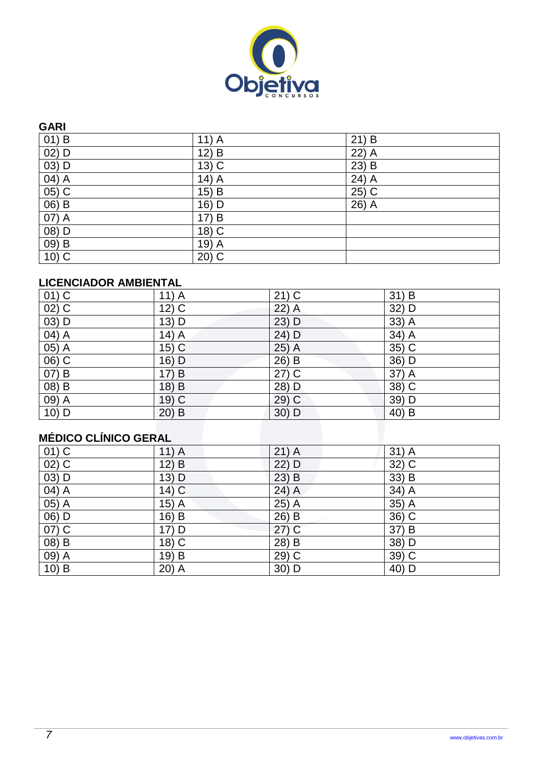

#### **GARI**

| $01)$ B                        | $11)$ A | $21)$ B            |
|--------------------------------|---------|--------------------|
| $02)$ D                        | $12)$ B | 22) $\overline{A}$ |
| $03)$ D                        | $13)$ C | $23)$ B            |
| $\overline{04}$ $\overline{A}$ | $14)$ A | $24)$ A            |
| $05)$ C                        | $15)$ B | $25)$ C            |
| $(06)$ B                       | 16) D   | 26) $\overline{A}$ |
| 07) A                          | 17) B   |                    |
| $(08)$ D                       | 18) C   |                    |
| 09) B                          | 19) A   |                    |
| $10)$ C                        | $20)$ C |                    |

### **LICENCIADOR AMBIENTAL**

| $01)$ C                        | $11)$ A           | $21)$ C | $31)$ B |
|--------------------------------|-------------------|---------|---------|
| $02)$ C                        | $12)$ C           | $22)$ A | 32) D   |
| $03)$ D                        | 13) D             | 23) D   | $33)$ A |
| $\overline{04)}$ A             | $14)$ A           | 24) D   | $34)$ A |
| $\overline{05)}$ A             | $15)\overline{C}$ | $25)$ A | $35)$ C |
| $06)$ C                        | $16)$ D           | 26) B   | $36)$ D |
| $07)$ B                        | 17) B             | $27)$ C | 37) A   |
| $(08)$ B                       | 18) B             | 28) D   | $38)$ C |
| $\overline{09}$ $\overline{A}$ | $19)$ C           | $29)$ C | 39) D   |
| $10)$ D                        | $20)$ B           | 30) D   | $40)$ B |

# **MÉDICO CLÍNICO GERAL**

| <br>------ <i>-</i> ------- |         |         |         |
|-----------------------------|---------|---------|---------|
| $(01)$ C                    | $11)$ A | $21)$ A | 31) A   |
| $\overline{02)}$ C          | $12)$ B | 22) D   | $32)$ C |
| $(03)$ D                    | $13)$ D | $23)$ B | 33) B   |
| 04) A                       | $14)$ C | $24)$ A | 34) A   |
| 05) A                       | $15)$ A | $25)$ A | 35) A   |
| 06) D                       | 16) B   | 26) B   | $36)$ C |
| $\overline{07)}$ C          | 17) D   | $27)$ C | 37) B   |
| $(08)$ B                    | 18) C   | 28) B   | 38) D   |
| 09) A                       | 19) B   | 29) C   | $39)$ C |
| $10)$ B                     | $20)$ A | 30) D   | 40) D   |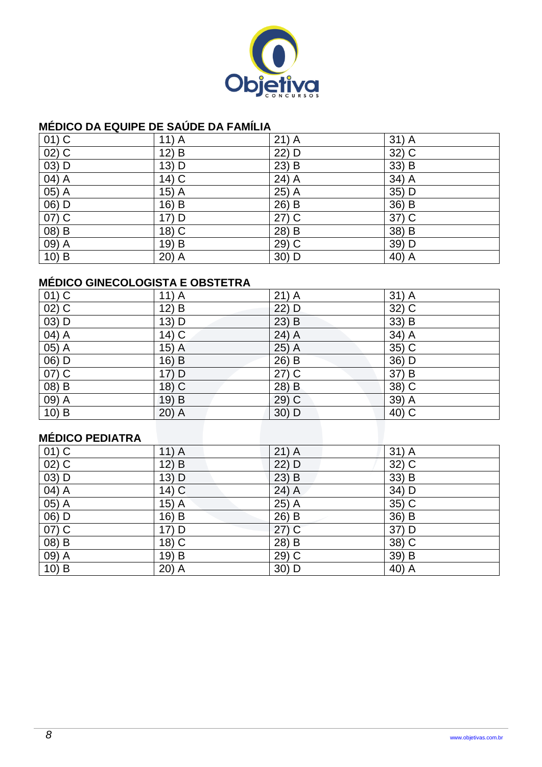

### **MÉDICO DA EQUIPE DE SAÚDE DA FAMÍLIA**

| $01)$ C            | $11)$ A | $21)$ A | $31)$ A            |
|--------------------|---------|---------|--------------------|
| $\overline{02)}$ C | $12)$ B | 22) D   | $\overline{32)}$ C |
| 03) D              | 13) D   | $23)$ B | 33) B              |
| $\overline{04)}$ A | $14)$ C | $24)$ A | $34)$ A            |
| $\overline{05)}$ A | $15)$ A | 25) A   | $35)$ D            |
| $(06)$ D           | 16) B   | 26) B   | $36)$ B            |
| 07) C              | 17) D   | $27)$ C | 37) C              |
| $(08)$ B           | 18) C   | 28) B   | $38) \overline{B}$ |
| $09)$ A            | 19) B   | 29) C   | 39) D              |
| $10)$ B            | $20)$ A | 30) D   | 40) A              |

# **MÉDICO GINECOLOGISTA E OBSTETRA**

| $01)$ C                        | $11)$ A | $21)$ A | $31)$ A                         |
|--------------------------------|---------|---------|---------------------------------|
| $02)$ C                        | 12) B   | 22) D   | 32) C                           |
| $(03)$ D                       | 13) D   | $23)$ B | 33) B                           |
| 04) A                          | 14) C   | 24) A   | 34) A                           |
| $05)$ A                        | $15)$ A | $25)$ A | $35)$ C                         |
| $\overline{06}$ $\overline{D}$ | $16)$ B | 26) B   | $36)$ D                         |
| 07) C                          | 17) D   | $27)$ C | 37) B                           |
| $(08)$ B                       | $18)$ C | 28) B   | $38)$ C                         |
| $\overline{09}$ $\overline{A}$ | 19) B   | $29)$ C | $\overline{39}$ $\overline{)A}$ |
| $10)$ B                        | $20)$ A | $30)$ D | 40) C                           |

### **MÉDICO PEDIATRA**

| $11)$ A | $21)$ A | 31) A   |
|---------|---------|---------|
| 12) B   | 22) D   | 32) C   |
| $13)$ D | $23)$ B | 33) B   |
| $14)$ C | $24)$ A | 34) D   |
| $15)$ A | $25)$ A | 35) C   |
| 16) B   | $26)$ B | 36) B   |
| 17) D   | $27)$ C | 37) D   |
| 18) C   | 28) B   | $38)$ C |
| 19) B   | 29) C   | 39) B   |
| $20)$ A | 30) D   | 40) A   |
|         |         |         |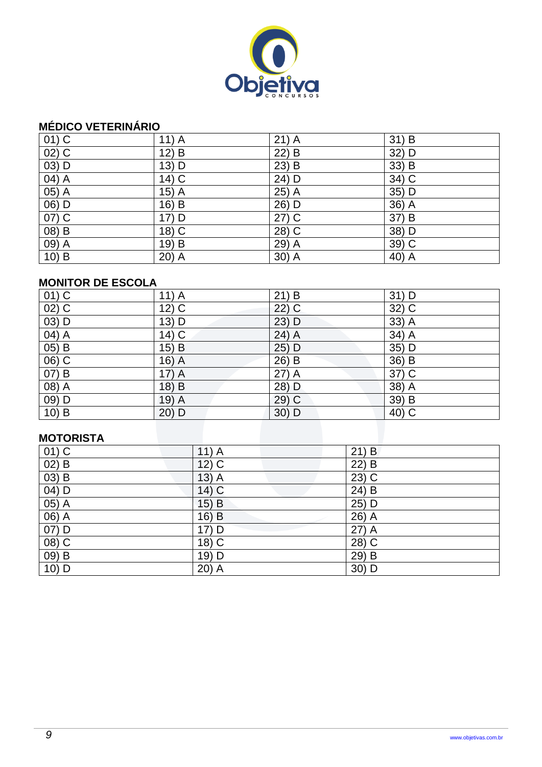

### **MÉDICO VETERINÁRIO**

| $01)$ C            | $11)$ A | $21)$ A            | $31)$ B            |
|--------------------|---------|--------------------|--------------------|
| $\overline{02)}$ C | $12)$ B | $22)$ B            | 32) D              |
| 03) D              | 13) D   | $23)$ B            | 33) B              |
| $\overline{04)}$ A | 14) C   | 24) D              | 34) C              |
| $\overline{05)}$ A | $15)$ A | 25) A              | 35) D              |
| 06) D              | 16) B   | 26) D              | 36) A              |
| $\overline{07)}$ C | 17) D   | $\overline{27)}$ C | 37) B              |
| $(08)$ B           | $18)$ C | 28) C              | 38) D              |
| 09) A              | 19) B   | 29) A              | $39)$ C            |
| $10)$ B            | $20)$ A | $30)$ A            | 40) $\overline{A}$ |

#### **MONITOR DE ESCOLA**

| $01)$ C                        | $11)$ A | 21) B   | 31) D                          |
|--------------------------------|---------|---------|--------------------------------|
| $02)$ C                        | $12)$ C | $22)$ C | 32) C                          |
| $(03)$ D                       | 13) D   | 23) D   | $33)$ A                        |
| $\overline{04}$ $\overline{A}$ | $14)$ C | 24) A   | 34) A                          |
| 05) B                          | $15)$ B | 25) D   | $35)$ D                        |
| $\overline{06}$ $\overline{C}$ | $16)$ A | 26) B   | $\overline{36}$ $\overline{B}$ |
| 07) B                          | $17)$ A | $27)$ A | 37) C                          |
| $(08)$ A                       | 18) B   | 28) D   | $38)$ A                        |
| $09)$ D                        | $19)$ A | $29)$ C | 39) B                          |
| 10) B                          | 20) D   | $30)$ D | $40)$ C                        |
|                                |         |         |                                |

#### **MOTORISTA**

| $01)$ C  | $11)$ A             | $21)$ B             |
|----------|---------------------|---------------------|
| $02)$ B  | $12)$ C             | $22)$ B             |
| $(03)$ B | 13)<br>$\mathsf{A}$ | $23)$ C             |
| 04) D    | $14)$ C             | 24) B               |
| $05)$ A  | 15) B               | 25) D               |
| 06) A    | $16)$ B             | 26) A               |
| 07) D    | 17) D               | 27) A               |
| $(08)$ C | 18) C               | $\overline{28}$ ) C |
| $(09)$ B | 19) D               | $29)$ B             |
| 10) D    | $20)$ A             | 30) D               |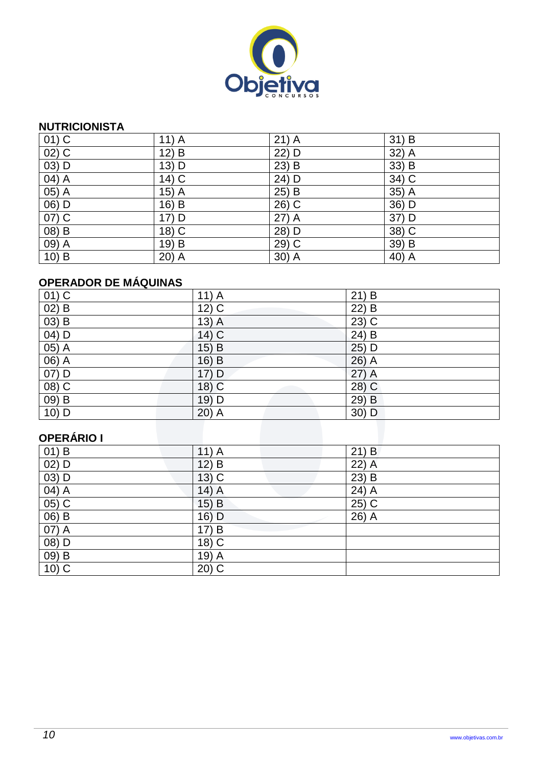

#### **NUTRICIONISTA**

| $01)$ C             | $11)$ A | $21)$ A | 31) B             |
|---------------------|---------|---------|-------------------|
| $\overline{02}$ ) C | $12)$ B | 22) D   | $32)$ A           |
| 03) D               | 13) D   | $23)$ B | 33) B             |
| $\overline{04)}$ A  | $14)$ C | 24) D   | $34)$ C           |
| $\overline{05)}$ A  | $15)$ A | 25) B   | $35)$ A           |
| 06) D               | 16) B   | 26) C   | 36) D             |
| $\overline{07)}$ C  | 17) D   | $27)$ A | 37) D             |
| $(08)$ B            | 18) C   | 28) D   | $38\overline{)C}$ |
| 09) A               | 19) B   | 29) C   | 39) B             |
| $10)$ B             | $20)$ A | $30)$ A | 40) A             |

# **OPERADOR DE MÁQUINAS**

| $01)$ C                        | $11)$ A            | $21)$ B             |
|--------------------------------|--------------------|---------------------|
| $\overline{02}$ $\overline{B}$ | $12)$ C            | 22) B               |
| $(03)$ B                       | $13)$ A            | $\overline{23}$ ) C |
| 04) D                          | $14)$ C            | 24) B               |
| $\overline{05)}$ A             | 15)<br>$\mathsf B$ | $25)$ D             |
| $06)$ A                        | $16)$ B            | $26)$ A             |
| 07) D                          | 17) D              | 27) A               |
| $(08)$ C                       | 18) C              | $28)$ C             |
| 09) B                          | 19) D              | 29) B               |
| 10) D                          | $20)$ A            | 30) D               |

# **OPERÁRIO I**

| $01)$ B  | $11)$ A             | $21)$ B |
|----------|---------------------|---------|
| $02)$ D  | 12)<br>B            | 22) A   |
| $03)$ D  | $13)$ C             | $23)$ B |
| 04) A    | $14)$ A             | $24)$ A |
| $05)$ C  | $15)$ B             | $25)$ C |
| $(06)$ B | $16)$ D             | 26) A   |
| 07) A    | 17)<br>B            |         |
| $(08)$ D | 18) C               |         |
| $(09)$ B | 19)<br>$\mathsf{A}$ |         |
| $10)$ C  | $20)$ C             |         |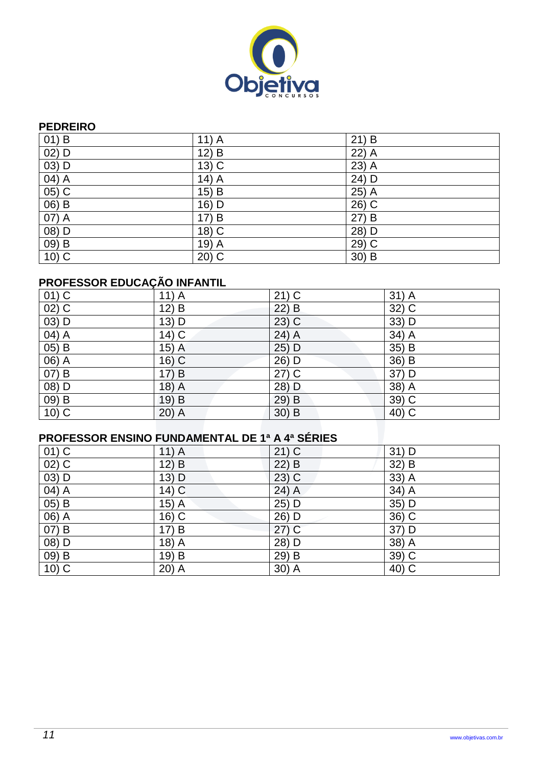

#### **PEDREIRO**

| $01)$ B             | $11)$ A            | $21)$ B |
|---------------------|--------------------|---------|
| $02)$ D             | $12)$ B            | $22)$ A |
| 03) D               | $13\overline{)C}$  | $23)$ A |
| 04) A               | $14)$ A            | $24)$ D |
| 05) C               | $15)$ B            | 25) A   |
| $06)$ B             | 16) D              | $26)$ C |
| 07) A               | 17) B              | 27) B   |
| 08) D               | 18) C              | 28) D   |
| $09)$ B             | 19) $\overline{A}$ | 29) C   |
| $\overline{10}$ ) C | $20)$ C            | 30) B   |

# **PROFESSOR EDUCAÇÃO INFANTIL**

| $01)$ C                         | $11)$ A                        | $21)$ C            | $31)$ A |
|---------------------------------|--------------------------------|--------------------|---------|
| $\overline{02)}$ C              | $\overline{12}$ $\overline{B}$ | $22)$ B            | $32)$ C |
| $(03)$ D                        | 13) D                          | $23)$ C            | 33) D   |
| $\overline{04)}$ A              | $14)$ C                        | 24) A              | $34)$ A |
| 05) B                           | $15)$ A                        | 25) D              | 35) B   |
| $\overline{06}$ $\overline{)A}$ | $16)$ C                        | 26) D              | $36)$ B |
| 07) B                           | 17) B                          | $\overline{27) C}$ | 37) D   |
| $(08)$ D                        | 18) A                          | 28) D              | $38)$ A |
| 09) B                           | 19) B                          | 29) B              | 39) C   |
| $10\overline{)C}$               | $20)$ A                        | $30)$ B            | $40)$ C |

# **PROFESSOR ENSINO FUNDAMENTAL DE 1ª A 4ª SÉRIES**

| $01)$ C  | $11)$ A | $21)$ C | $31)$ D             |
|----------|---------|---------|---------------------|
| $02)$ C  | 12) B   | $22)$ B | 32) B               |
| 03) D    | $13)$ D | $23)$ C | $33)$ A             |
| $(04)$ A | $14)$ C | $24)$ A | 34) A               |
| $05)$ B  | $15)$ A | $25)$ D | 35) D               |
| 06) A    | 16) C   | 26) D   | $\overline{36}$ ) C |
| 07) B    | 17) B   | $27)$ C | 37) D               |
| 08) D    | 18) A   | 28) D   | $38)$ A             |
| $(09)$ B | 19) B   | 29) B   | $39)$ C             |
| $10)$ C  | $20)$ A | $30)$ A | 40) C               |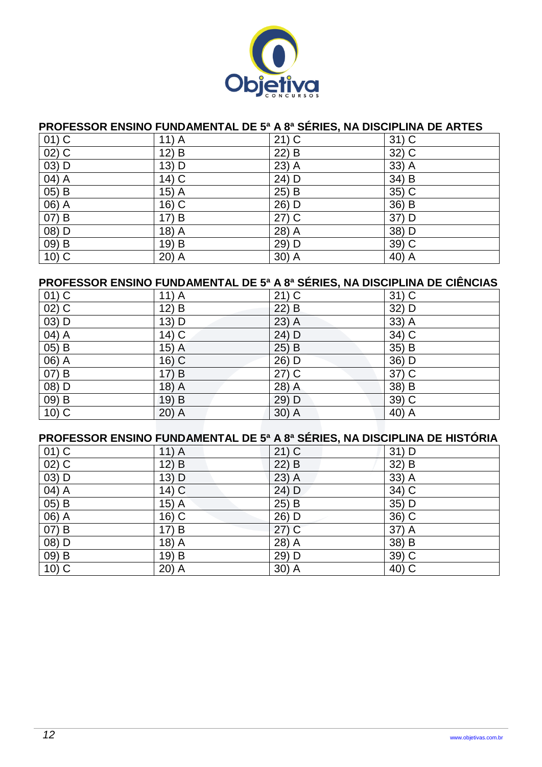

#### **PROFESSOR ENSINO FUNDAMENTAL DE 5ª A 8ª SÉRIES, NA DISCIPLINA DE ARTES**

| $01)$ C                         | $11)$ A           | $21)$ C                 | $31)$ C |
|---------------------------------|-------------------|-------------------------|---------|
| $02)$ C                         | $12)$ B           | 22) B                   | 32) C   |
| 03) D                           | 13) D             | $23)$ A                 | 33) A   |
| $\overline{04}$ $\overline{)A}$ | $14)$ C           | 24) D                   | 34) B   |
| $05)$ B                         | $15\overline{)A}$ | $25\overline{\smash)B}$ | $35)$ C |
| $\overline{06)}$ A              | 16) C             | 26) D                   | 36) B   |
| $(07)$ B                        | 17) B             | $27)$ C                 | 37) D   |
| 08) D                           | $18)$ A           | 28) A                   | 38) D   |
| $\overline{09}$ $\overline{B}$  | 19) B             | 29) D                   | $39)$ C |
| $10)$ C                         | $20)$ A           | $30)$ A                 | 40) A   |

## **PROFESSOR ENSINO FUNDAMENTAL DE 5ª A 8ª SÉRIES, NA DISCIPLINA DE CIÊNCIAS**

| $01)$ C                        | $11)$ A | $21)$ C | $31)$ C            |
|--------------------------------|---------|---------|--------------------|
| $02)$ C                        | 12) B   | $22)$ B | 32) D              |
| $03)$ D                        | 13) D   | $23)$ A | 33) A              |
| $\overline{04}$ $\overline{A}$ | $14)$ C | $24)$ D | $34)$ C            |
| $\overline{05}$ $\overline{B}$ | 15) A   | $25)$ B | 35) B              |
| 06) A                          | $16)$ C | 26) D   | 36) D              |
| $07)$ B                        | 17) B   | $27)$ C | 37) C              |
| $(08)$ D                       | $18)$ A | 28) A   | 38) B              |
| 09) B                          | 19) B   | 29) D   | 39) C              |
| $10)$ C                        | $20)$ A | $30)$ A | 40) $\overline{A}$ |

|          | PROFESSOR ENSINO FUNDAMENTAL DE 5ª A 8ª SÉRIES, NA DISCIPLINA DE HISTÓRIA |         |         |
|----------|---------------------------------------------------------------------------|---------|---------|
| $01)$ C  | 11) A                                                                     | $21)$ C | $31)$ D |
| $02)$ C  | 12) B                                                                     | $22)$ B | $32)$ B |
| $03)$ D  | $13)$ D                                                                   | $23)$ A | $33)$ A |
| 04) A    | 14) C                                                                     | 24) D   | 34) C   |
| $(05)$ B | $15)$ A                                                                   | 25) B   | $35)$ D |
| 06) A    | $16)$ C                                                                   | 26) D   | 36) C   |
| $(07)$ B | 17) B                                                                     | (27)    | 37) A   |
| 08) D    | $18)$ A                                                                   | 28) A   | 38) B   |
| 09) B    | 19) B                                                                     | 29) D   | $39)$ C |
| $10)$ C  | $20)$ A                                                                   | $30)$ A | 40) C   |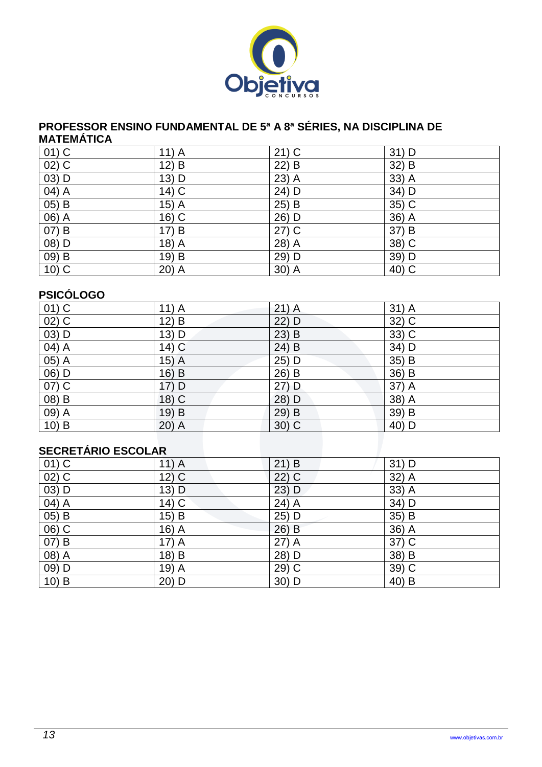

#### **PROFESSOR ENSINO FUNDAMENTAL DE 5ª A 8ª SÉRIES, NA DISCIPLINA DE MATEMÁTICA**

| $01)$ C                        | $11)$ A | $21)$ C | $31)$ D |
|--------------------------------|---------|---------|---------|
| $\overline{02)}$ C             | $12)$ B | $22)$ B | 32) B   |
| $03)$ D                        | 13) D   | $23)$ A | 33) A   |
| $\overline{04}$ $\overline{A}$ | $14)$ C | 24) D   | 34) D   |
| $05)$ B                        | $15)$ A | $25)$ B | 35) C   |
| $(06)$ A                       | $16)$ C | 26) D   | $36)$ A |
| 07) B                          | 17) B   | $27)$ C | 37) B   |
| 08) D                          | 18) A   | 28) A   | 38) C   |
| 09) B                          | 19) B   | 29) D   | 39) D   |
| $10)$ C                        | $20)$ A | 30) A   | 40) C   |

#### **PSICÓLOGO**

| $01)$ C                        | $11)$ A | $21)$ A | 31) A              |
|--------------------------------|---------|---------|--------------------|
| $02)$ C                        | 12) B   | 22) D   | $32\overline{)C}$  |
| $(03)$ D                       | 13) D   | $23)$ B | 33) C              |
| $\overline{04)}$ A             | $14)$ C | $24)$ B | $34)$ D            |
| $(05)$ A                       | $15)$ A | 25) D   | $35)$ B            |
| 06) D                          | 16) B   | 26) B   | $36)$ B            |
| $07)$ C                        | 17) D   | $27)$ D | 37) A              |
| $(08)$ B                       | $18)$ C | 28) D   | $\overline{38)}$ A |
| 09) A                          | 19) B   | 29) B   | 39) B              |
| $\overline{10}$ $\overline{B}$ | $20)$ A | $30)$ C | $40)$ D            |
|                                |         |         |                    |

### **SECRETÁRIO ESCOLAR**

| $01)$ C            | $11)$ A            | 21) B   | $31)$ D |
|--------------------|--------------------|---------|---------|
| $02)$ C            | $12)$ C            | 22) C   | 32) A   |
| 03) D              | $13)$ D            | $23)$ D | 33) A   |
| $\overline{04)}$ A | $14)$ C            | $24)$ A | $34)$ D |
| 05) B              | 15) B              | 25) D   | 35) B   |
| $06)$ C            | 16) $\overline{A}$ | 26) B   | $36)$ A |
| 07) B              | $17)$ A            | $27)$ A | $37)$ C |
| 08) A              | 18) B              | 28) D   | 38) B   |
| 09) D              | 19) A              | 29) C   | $39)$ C |
| 10) B              | 20) D              | 30) D   | $40)$ B |